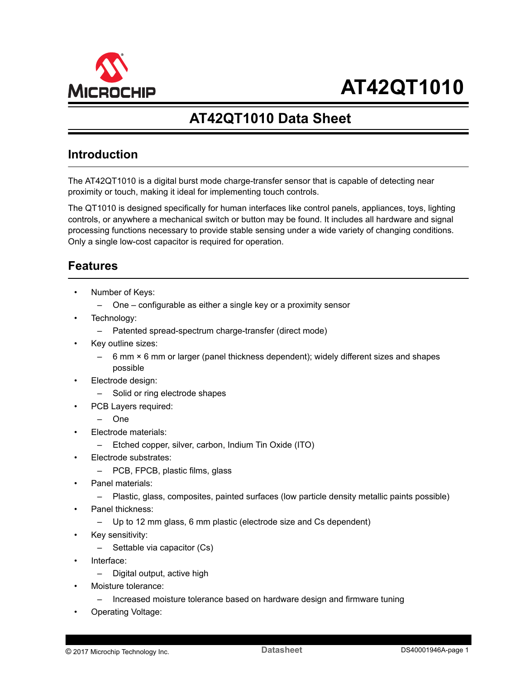<span id="page-0-0"></span>

# **AT42QT1010 Data Sheet**

## **Introduction**

The AT42QT1010 is a digital burst mode charge-transfer sensor that is capable of detecting near proximity or touch, making it ideal for implementing touch controls.

The QT1010 is designed specifically for human interfaces like control panels, appliances, toys, lighting controls, or anywhere a mechanical switch or button may be found. It includes all hardware and signal processing functions necessary to provide stable sensing under a wide variety of changing conditions. Only a single low-cost capacitor is required for operation.

## **Features**

- Number of Keys:
	- One configurable as either a single key or a proximity sensor
- Technology:
	- Patented spread-spectrum charge-transfer (direct mode)
- Key outline sizes:
	- $-$  6 mm  $\times$  6 mm or larger (panel thickness dependent); widely different sizes and shapes possible
- Electrode design:
	- Solid or ring electrode shapes
	- PCB Layers required:
		- One
- Electrode materials:
	- Etched copper, silver, carbon, Indium Tin Oxide (ITO)
- Electrode substrates:
	- PCB, FPCB, plastic films, glass
- Panel materials:
	- Plastic, glass, composites, painted surfaces (low particle density metallic paints possible)
- Panel thickness:
	- Up to 12 mm glass, 6 mm plastic (electrode size and Cs dependent)
	- Key sensitivity:
		- Settable via capacitor (Cs)
- Interface:
	- Digital output, active high
- Moisture tolerance:
	- Increased moisture tolerance based on hardware design and firmware tuning
- Operating Voltage: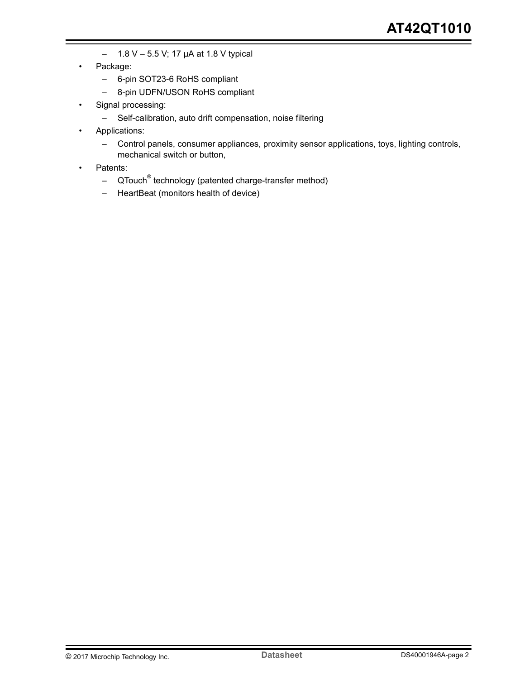- $-$  1.8 V 5.5 V; 17 µA at 1.8 V typical
- Package:
	- 6-pin SOT23-6 RoHS compliant
	- 8-pin UDFN/USON RoHS compliant
- Signal processing:
	- Self-calibration, auto drift compensation, noise filtering
- Applications:
	- Control panels, consumer appliances, proximity sensor applications, toys, lighting controls, mechanical switch or button,
- Patents:
	- QTouch<sup>®</sup> technology (patented charge-transfer method)
	- HeartBeat (monitors health of device)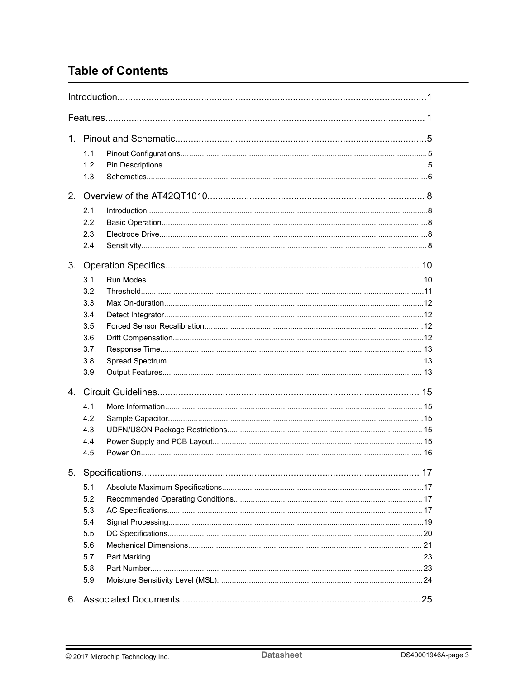## **Table of Contents**

|                | 1.1. |  |
|----------------|------|--|
|                | 1.2. |  |
|                | 1.3. |  |
| 2.             |      |  |
|                | 2.1. |  |
|                | 2.2. |  |
|                | 2.3. |  |
|                | 2.4. |  |
| 3.             |      |  |
|                | 3.1. |  |
|                | 3.2. |  |
|                | 3.3. |  |
|                | 3.4. |  |
|                | 3.5. |  |
|                | 3.6. |  |
|                | 3.7. |  |
|                | 3.8. |  |
|                | 3.9. |  |
| $\overline{4}$ |      |  |
|                | 4.1. |  |
|                | 4.2. |  |
|                | 4.3. |  |
|                | 4.4. |  |
|                | 4.5. |  |
|                |      |  |
|                | 5.1. |  |
|                | 5.2. |  |
|                | 5.3. |  |
|                | 5.4. |  |
|                | 5.5. |  |
|                | 5.6. |  |
|                | 5.7. |  |
|                | 5.8. |  |
|                | 5.9. |  |
|                |      |  |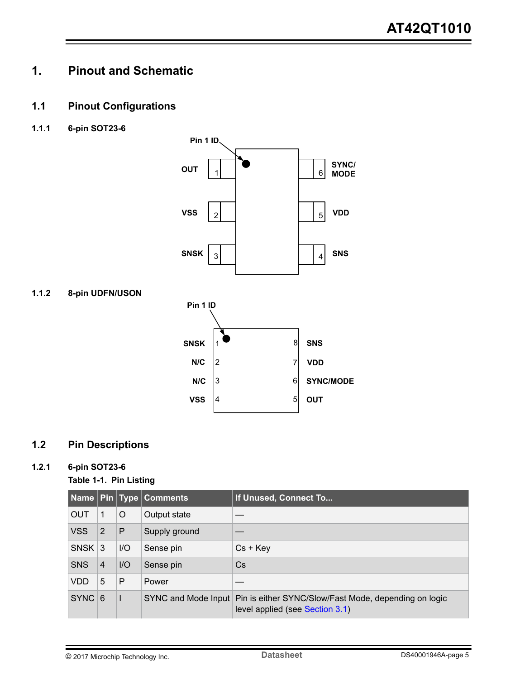## <span id="page-4-0"></span>**1. Pinout and Schematic**

## **1.1 Pinout Configurations**

**1.1.1 6-pin SOT23-6**







## **1.2 Pin Descriptions**

### **1.2.1 6-pin SOT23-6**

### **Table 1-1. Pin Listing**

|            |                |         | Name Pin Type Comments | If Unused, Connect To                                                                                        |
|------------|----------------|---------|------------------------|--------------------------------------------------------------------------------------------------------------|
| <b>OUT</b> | $\mathbf{1}$   | $\circ$ | Output state           |                                                                                                              |
| <b>VSS</b> | 2              | P       | Supply ground          |                                                                                                              |
| $SNSK$ 3   |                | $I/O$   | Sense pin              | $Cs + Key$                                                                                                   |
| <b>SNS</b> | $\overline{4}$ | $I/O$   | Sense pin              | Cs                                                                                                           |
| <b>VDD</b> | 5              | P       | Power                  |                                                                                                              |
| $SYNC$ 6   |                |         |                        | SYNC and Mode Input Pin is either SYNC/Slow/Fast Mode, depending on logic<br>level applied (see Section 3.1) |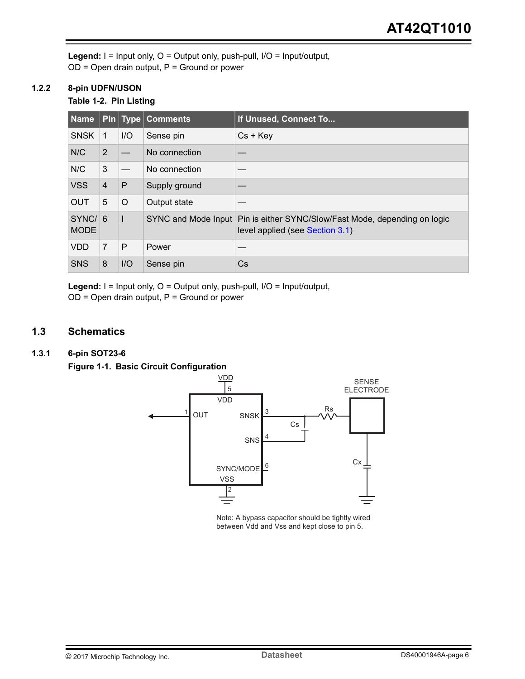<span id="page-5-0"></span>**Legend:** I = Input only, O = Output only, push-pull, I/O = Input/output,  $OD = Open$  drain output,  $P = Ground$  or power

#### **1.2.2 8-pin UDFN/USON**

### **Table 1-2. Pin Listing**

| Name                  |                |         | <b>Pin</b> Type Comments | If Unused, Connect To                                                                                        |
|-----------------------|----------------|---------|--------------------------|--------------------------------------------------------------------------------------------------------------|
| <b>SNSK</b>           | -1             | I/O     | Sense pin                | $Cs + Key$                                                                                                   |
| N/C                   | 2              |         | No connection            |                                                                                                              |
| N/C                   | 3              |         | No connection            |                                                                                                              |
| <b>VSS</b>            | $\overline{4}$ | P       | Supply ground            |                                                                                                              |
| <b>OUT</b>            | 5              | $\circ$ | Output state             |                                                                                                              |
| SYNC/6<br><b>MODE</b> |                |         |                          | SYNC and Mode Input Pin is either SYNC/Slow/Fast Mode, depending on logic<br>level applied (see Section 3.1) |
| <b>VDD</b>            | $\overline{7}$ | P       | Power                    |                                                                                                              |
| <b>SNS</b>            | 8              | I/O     | Sense pin                | Cs                                                                                                           |

**Legend:** I = Input only, O = Output only, push-pull, I/O = Input/output,  $OD = Open$  drain output,  $P = Ground$  or power

## **1.3 Schematics**

### **1.3.1 6-pin SOT23-6**

**Figure 1-1. Basic Circuit Configuration**



Note: A bypass capacitor should be tightly wired between Vdd and Vss and kept close to pin 5.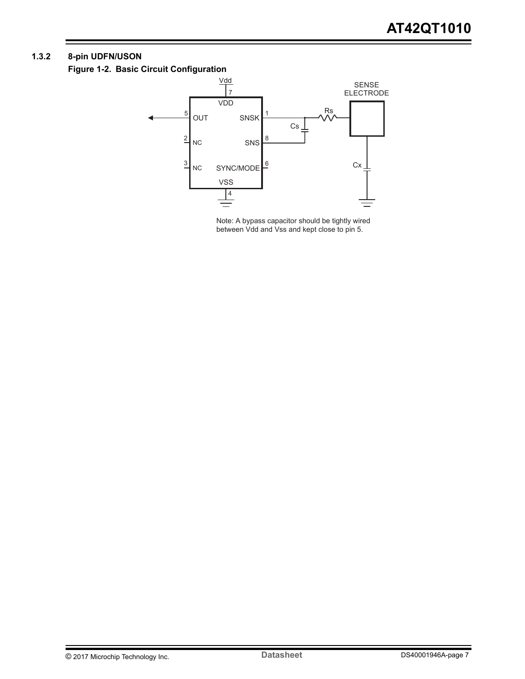### <span id="page-6-0"></span>**1.3.2 8-pin UDFN/USON**

**Figure 1-2. Basic Circuit Configuration**



Note: A bypass capacitor should be tightly wired between Vdd and Vss and kept close to pin 5.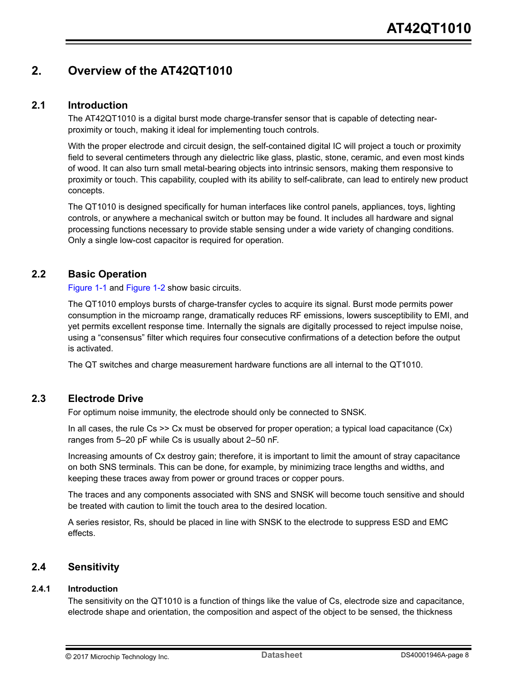## <span id="page-7-0"></span>**2. Overview of the AT42QT1010**

### **2.1 Introduction**

The AT42QT1010 is a digital burst mode charge-transfer sensor that is capable of detecting nearproximity or touch, making it ideal for implementing touch controls.

With the proper electrode and circuit design, the self-contained digital IC will project a touch or proximity field to several centimeters through any dielectric like glass, plastic, stone, ceramic, and even most kinds of wood. It can also turn small metal-bearing objects into intrinsic sensors, making them responsive to proximity or touch. This capability, coupled with its ability to self-calibrate, can lead to entirely new product concepts.

The QT1010 is designed specifically for human interfaces like control panels, appliances, toys, lighting controls, or anywhere a mechanical switch or button may be found. It includes all hardware and signal processing functions necessary to provide stable sensing under a wide variety of changing conditions. Only a single low-cost capacitor is required for operation.

## **2.2 Basic Operation**

[Figure 1-1](#page-5-0) and [Figure 1-2](#page-6-0) show basic circuits.

The QT1010 employs bursts of charge-transfer cycles to acquire its signal. Burst mode permits power consumption in the microamp range, dramatically reduces RF emissions, lowers susceptibility to EMI, and yet permits excellent response time. Internally the signals are digitally processed to reject impulse noise, using a "consensus" filter which requires four consecutive confirmations of a detection before the output is activated.

The QT switches and charge measurement hardware functions are all internal to the QT1010.

### **2.3 Electrode Drive**

For optimum noise immunity, the electrode should only be connected to SNSK.

In all cases, the rule  $Cs \gg Cx$  must be observed for proper operation; a typical load capacitance  $(Cx)$ ranges from 5–20 pF while Cs is usually about 2–50 nF.

Increasing amounts of Cx destroy gain; therefore, it is important to limit the amount of stray capacitance on both SNS terminals. This can be done, for example, by minimizing trace lengths and widths, and keeping these traces away from power or ground traces or copper pours.

The traces and any components associated with SNS and SNSK will become touch sensitive and should be treated with caution to limit the touch area to the desired location.

A series resistor, Rs, should be placed in line with SNSK to the electrode to suppress ESD and EMC effects.

### **2.4 Sensitivity**

### **2.4.1 Introduction**

The sensitivity on the QT1010 is a function of things like the value of Cs, electrode size and capacitance, electrode shape and orientation, the composition and aspect of the object to be sensed, the thickness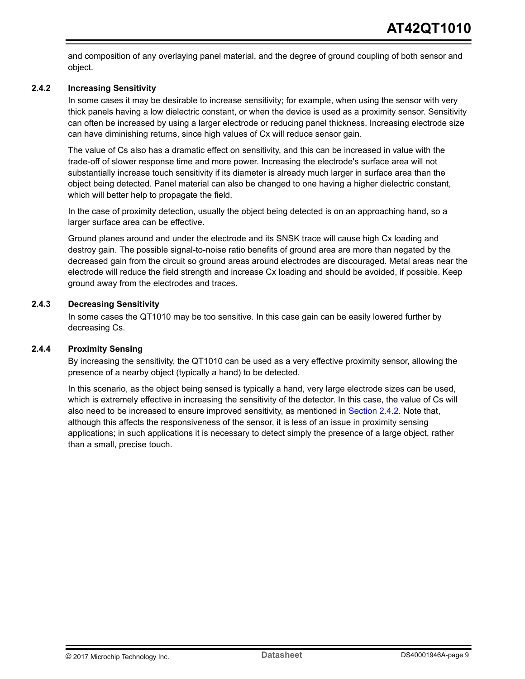and composition of any overlaying panel material, and the degree of ground coupling of both sensor and object.

#### **2.4.2 Increasing Sensitivity**

In some cases it may be desirable to increase sensitivity; for example, when using the sensor with very thick panels having a low dielectric constant, or when the device is used as a proximity sensor. Sensitivity can often be increased by using a larger electrode or reducing panel thickness. Increasing electrode size can have diminishing returns, since high values of Cx will reduce sensor gain.

The value of Cs also has a dramatic effect on sensitivity, and this can be increased in value with the trade-off of slower response time and more power. Increasing the electrode's surface area will not substantially increase touch sensitivity if its diameter is already much larger in surface area than the object being detected. Panel material can also be changed to one having a higher dielectric constant, which will better help to propagate the field.

In the case of proximity detection, usually the object being detected is on an approaching hand, so a larger surface area can be effective.

Ground planes around and under the electrode and its SNSK trace will cause high Cx loading and destroy gain. The possible signal-to-noise ratio benefits of ground area are more than negated by the decreased gain from the circuit so ground areas around electrodes are discouraged. Metal areas near the electrode will reduce the field strength and increase Cx loading and should be avoided, if possible. Keep ground away from the electrodes and traces.

#### **2.4.3 Decreasing Sensitivity**

In some cases the QT1010 may be too sensitive. In this case gain can be easily lowered further by decreasing Cs.

#### **2.4.4 Proximity Sensing**

By increasing the sensitivity, the QT1010 can be used as a very effective proximity sensor, allowing the presence of a nearby object (typically a hand) to be detected.

In this scenario, as the object being sensed is typically a hand, very large electrode sizes can be used, which is extremely effective in increasing the sensitivity of the detector. In this case, the value of Cs will also need to be increased to ensure improved sensitivity, as mentioned in Section 2.4.2. Note that, although this affects the responsiveness of the sensor, it is less of an issue in proximity sensing applications; in such applications it is necessary to detect simply the presence of a large object, rather than a small, precise touch.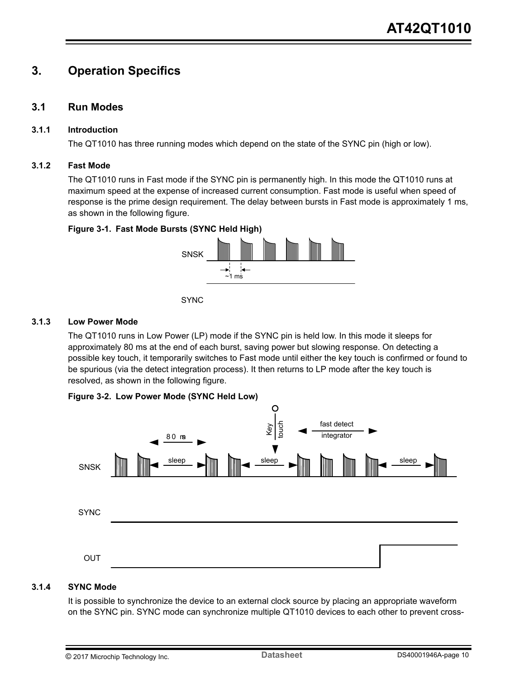## <span id="page-9-0"></span>**3. Operation Specifics**

### **3.1 Run Modes**

#### **3.1.1 Introduction**

The QT1010 has three running modes which depend on the state of the SYNC pin (high or low).

#### **3.1.2 Fast Mode**

The QT1010 runs in Fast mode if the SYNC pin is permanently high. In this mode the QT1010 runs at maximum speed at the expense of increased current consumption. Fast mode is useful when speed of response is the prime design requirement. The delay between bursts in Fast mode is approximately 1 ms, as shown in the following figure.

### **Figure 3-1. Fast Mode Bursts (SYNC Held High)**





#### **3.1.3 Low Power Mode**

The QT1010 runs in Low Power (LP) mode if the SYNC pin is held low. In this mode it sleeps for approximately 80 ms at the end of each burst, saving power but slowing response. On detecting a possible key touch, it temporarily switches to Fast mode until either the key touch is confirmed or found to be spurious (via the detect integration process). It then returns to LP mode after the key touch is resolved, as shown in the following figure.

#### **Figure 3-2. Low Power Mode (SYNC Held Low)**



#### **3.1.4 SYNC Mode**

It is possible to synchronize the device to an external clock source by placing an appropriate waveform on the SYNC pin. SYNC mode can synchronize multiple QT1010 devices to each other to prevent cross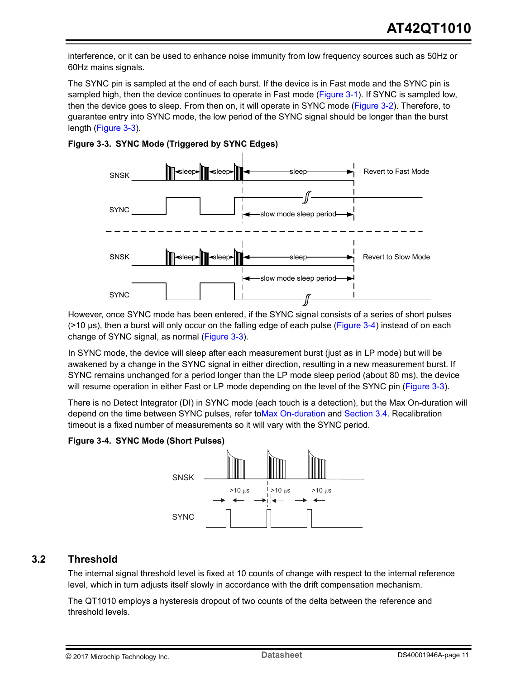<span id="page-10-0"></span>interference, or it can be used to enhance noise immunity from low frequency sources such as 50Hz or 60Hz mains signals.

The SYNC pin is sampled at the end of each burst. If the device is in Fast mode and the SYNC pin is sampled high, then the device continues to operate in Fast mode [\(Figure 3-1\)](#page-9-0). If SYNC is sampled low, then the device goes to sleep. From then on, it will operate in SYNC mode [\(Figure 3-2](#page-9-0)). Therefore, to guarantee entry into SYNC mode, the low period of the SYNC signal should be longer than the burst length (Figure 3-3).





However, once SYNC mode has been entered, if the SYNC signal consists of a series of short pulses (>10 μs), then a burst will only occur on the falling edge of each pulse (Figure 3-4) instead of on each change of SYNC signal, as normal (Figure 3-3).

In SYNC mode, the device will sleep after each measurement burst (just as in LP mode) but will be awakened by a change in the SYNC signal in either direction, resulting in a new measurement burst. If SYNC remains unchanged for a period longer than the LP mode sleep period (about 80 ms), the device will resume operation in either Fast or LP mode depending on the level of the SYNC pin (Figure 3-3).

There is no Detect Integrator (DI) in SYNC mode (each touch is a detection), but the Max On-duration will depend on the time between SYNC pulses, refer to Max On-duration and [Section 3.4.](#page-11-0) Recalibration timeout is a fixed number of measurements so it will vary with the SYNC period.

### **Figure 3-4. SYNC Mode (Short Pulses)**



## **3.2 Threshold**

The internal signal threshold level is fixed at 10 counts of change with respect to the internal reference level, which in turn adjusts itself slowly in accordance with the drift compensation mechanism.

The QT1010 employs a hysteresis dropout of two counts of the delta between the reference and threshold levels.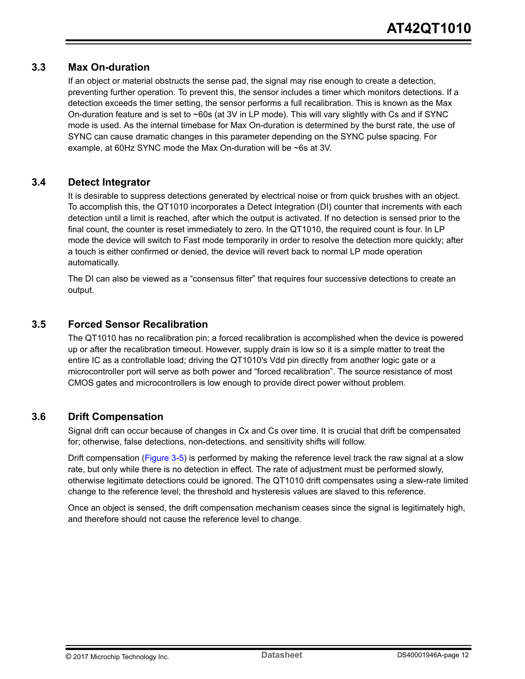### <span id="page-11-0"></span>**3.3 Max On-duration**

If an object or material obstructs the sense pad, the signal may rise enough to create a detection, preventing further operation. To prevent this, the sensor includes a timer which monitors detections. If a detection exceeds the timer setting, the sensor performs a full recalibration. This is known as the Max On-duration feature and is set to  $\sim$  60s (at 3V in LP mode). This will vary slightly with Cs and if SYNC mode is used. As the internal timebase for Max On-duration is determined by the burst rate, the use of SYNC can cause dramatic changes in this parameter depending on the SYNC pulse spacing. For example, at 60Hz SYNC mode the Max On-duration will be ~6s at 3V.

### **3.4 Detect Integrator**

It is desirable to suppress detections generated by electrical noise or from quick brushes with an object. To accomplish this, the QT1010 incorporates a Detect Integration (DI) counter that increments with each detection until a limit is reached, after which the output is activated. If no detection is sensed prior to the final count, the counter is reset immediately to zero. In the QT1010, the required count is four. In LP mode the device will switch to Fast mode temporarily in order to resolve the detection more quickly; after a touch is either confirmed or denied, the device will revert back to normal LP mode operation automatically.

The DI can also be viewed as a "consensus filter" that requires four successive detections to create an output.

## **3.5 Forced Sensor Recalibration**

The QT1010 has no recalibration pin; a forced recalibration is accomplished when the device is powered up or after the recalibration timeout. However, supply drain is low so it is a simple matter to treat the entire IC as a controllable load; driving the QT1010's Vdd pin directly from another logic gate or a microcontroller port will serve as both power and "forced recalibration". The source resistance of most CMOS gates and microcontrollers is low enough to provide direct power without problem.

## **3.6 Drift Compensation**

Signal drift can occur because of changes in Cx and Cs over time. It is crucial that drift be compensated for; otherwise, false detections, non-detections, and sensitivity shifts will follow.

Drift compensation ([Figure 3-5](#page-12-0)) is performed by making the reference level track the raw signal at a slow rate, but only while there is no detection in effect. The rate of adjustment must be performed slowly, otherwise legitimate detections could be ignored. The QT1010 drift compensates using a slew-rate limited change to the reference level; the threshold and hysteresis values are slaved to this reference.

Once an object is sensed, the drift compensation mechanism ceases since the signal is legitimately high, and therefore should not cause the reference level to change.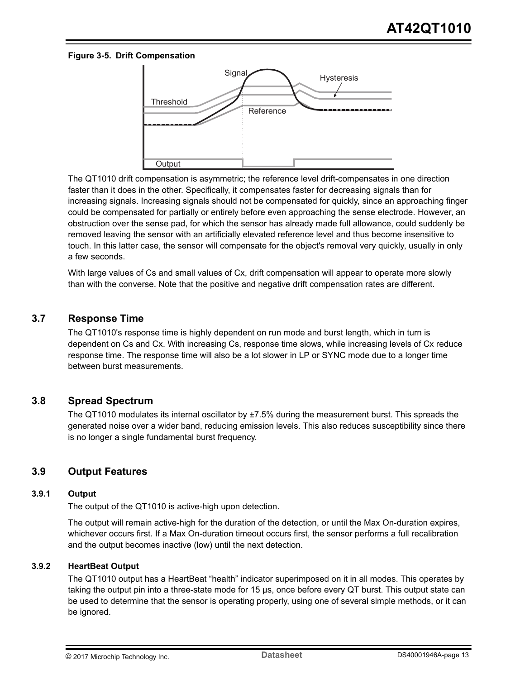#### <span id="page-12-0"></span>**Figure 3-5. Drift Compensation**



The QT1010 drift compensation is asymmetric; the reference level drift-compensates in one direction faster than it does in the other. Specifically, it compensates faster for decreasing signals than for increasing signals. Increasing signals should not be compensated for quickly, since an approaching finger could be compensated for partially or entirely before even approaching the sense electrode. However, an obstruction over the sense pad, for which the sensor has already made full allowance, could suddenly be removed leaving the sensor with an artificially elevated reference level and thus become insensitive to touch. In this latter case, the sensor will compensate for the object's removal very quickly, usually in only a few seconds.

With large values of Cs and small values of Cx, drift compensation will appear to operate more slowly than with the converse. Note that the positive and negative drift compensation rates are different.

#### **3.7 Response Time**

The QT1010's response time is highly dependent on run mode and burst length, which in turn is dependent on Cs and Cx. With increasing Cs, response time slows, while increasing levels of Cx reduce response time. The response time will also be a lot slower in LP or SYNC mode due to a longer time between burst measurements.

#### **3.8 Spread Spectrum**

The QT1010 modulates its internal oscillator by  $\pm 7.5\%$  during the measurement burst. This spreads the generated noise over a wider band, reducing emission levels. This also reduces susceptibility since there is no longer a single fundamental burst frequency.

### **3.9 Output Features**

#### **3.9.1 Output**

The output of the QT1010 is active-high upon detection.

The output will remain active-high for the duration of the detection, or until the Max On-duration expires, whichever occurs first. If a Max On-duration timeout occurs first, the sensor performs a full recalibration and the output becomes inactive (low) until the next detection.

#### **3.9.2 HeartBeat Output**

The QT1010 output has a HeartBeat "health" indicator superimposed on it in all modes. This operates by taking the output pin into a three-state mode for 15 μs, once before every QT burst. This output state can be used to determine that the sensor is operating properly, using one of several simple methods, or it can be ignored.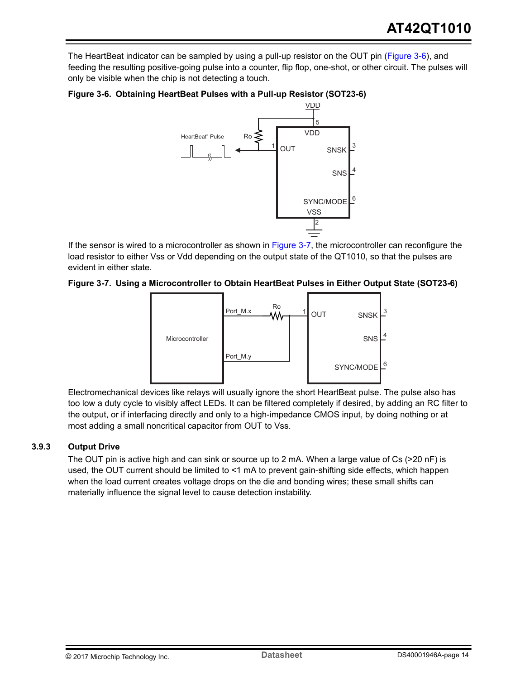The HeartBeat indicator can be sampled by using a pull-up resistor on the OUT pin (Figure 3-6), and feeding the resulting positive-going pulse into a counter, flip flop, one-shot, or other circuit. The pulses will only be visible when the chip is not detecting a touch.



#### **Figure 3-6. Obtaining HeartBeat Pulses with a Pull-up Resistor (SOT23-6)**

If the sensor is wired to a microcontroller as shown in Figure 3-7, the microcontroller can reconfigure the load resistor to either Vss or Vdd depending on the output state of the QT1010, so that the pulses are evident in either state.

#### **Figure 3-7. Using a Microcontroller to Obtain HeartBeat Pulses in Either Output State (SOT23-6)**



Electromechanical devices like relays will usually ignore the short HeartBeat pulse. The pulse also has too low a duty cycle to visibly affect LEDs. It can be filtered completely if desired, by adding an RC filter to the output, or if interfacing directly and only to a high-impedance CMOS input, by doing nothing or at most adding a small noncritical capacitor from OUT to Vss.

#### **3.9.3 Output Drive**

The OUT pin is active high and can sink or source up to 2 mA. When a large value of Cs (>20 nF) is used, the OUT current should be limited to <1 mA to prevent gain-shifting side effects, which happen when the load current creates voltage drops on the die and bonding wires; these small shifts can materially influence the signal level to cause detection instability.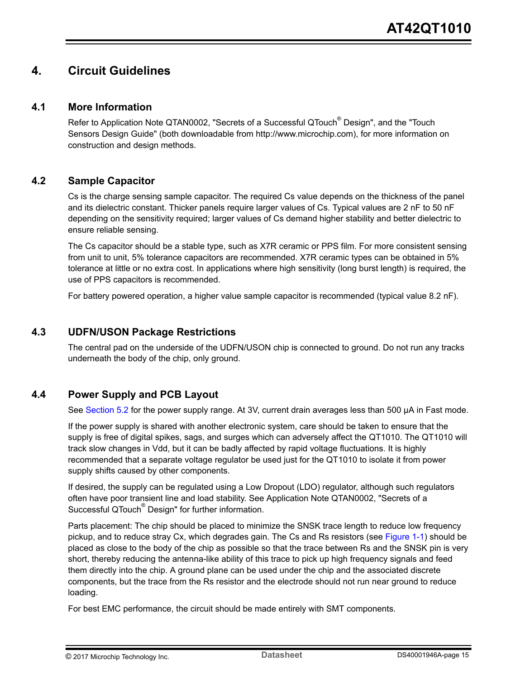## <span id="page-14-0"></span>**4. Circuit Guidelines**

### **4.1 More Information**

Refer to Application Note QTAN0002, "Secrets of a Successful QTouch<sup>®</sup> Design", and the "Touch Sensors Design Guide" (both downloadable from http://www.microchip.com), for more information on construction and design methods.

### **4.2 Sample Capacitor**

Cs is the charge sensing sample capacitor. The required Cs value depends on the thickness of the panel and its dielectric constant. Thicker panels require larger values of Cs. Typical values are 2 nF to 50 nF depending on the sensitivity required; larger values of Cs demand higher stability and better dielectric to ensure reliable sensing.

The Cs capacitor should be a stable type, such as X7R ceramic or PPS film. For more consistent sensing from unit to unit, 5% tolerance capacitors are recommended. X7R ceramic types can be obtained in 5% tolerance at little or no extra cost. In applications where high sensitivity (long burst length) is required, the use of PPS capacitors is recommended.

For battery powered operation, a higher value sample capacitor is recommended (typical value 8.2 nF).

### **4.3 UDFN/USON Package Restrictions**

The central pad on the underside of the UDFN/USON chip is connected to ground. Do not run any tracks underneath the body of the chip, only ground.

## **4.4 Power Supply and PCB Layout**

See [Section 5.2](#page-16-0) for the power supply range. At 3V, current drain averages less than 500 μA in Fast mode.

If the power supply is shared with another electronic system, care should be taken to ensure that the supply is free of digital spikes, sags, and surges which can adversely affect the QT1010. The QT1010 will track slow changes in Vdd, but it can be badly affected by rapid voltage fluctuations. It is highly recommended that a separate voltage regulator be used just for the QT1010 to isolate it from power supply shifts caused by other components.

If desired, the supply can be regulated using a Low Dropout (LDO) regulator, although such regulators often have poor transient line and load stability. See Application Note QTAN0002, "Secrets of a Successful QTouch<sup>®</sup> Design" for further information.

Parts placement: The chip should be placed to minimize the SNSK trace length to reduce low frequency pickup, and to reduce stray Cx, which degrades gain. The Cs and Rs resistors (see [Figure 1-1](#page-5-0)) should be placed as close to the body of the chip as possible so that the trace between Rs and the SNSK pin is very short, thereby reducing the antenna-like ability of this trace to pick up high frequency signals and feed them directly into the chip. A ground plane can be used under the chip and the associated discrete components, but the trace from the Rs resistor and the electrode should not run near ground to reduce loading.

For best EMC performance, the circuit should be made entirely with SMT components.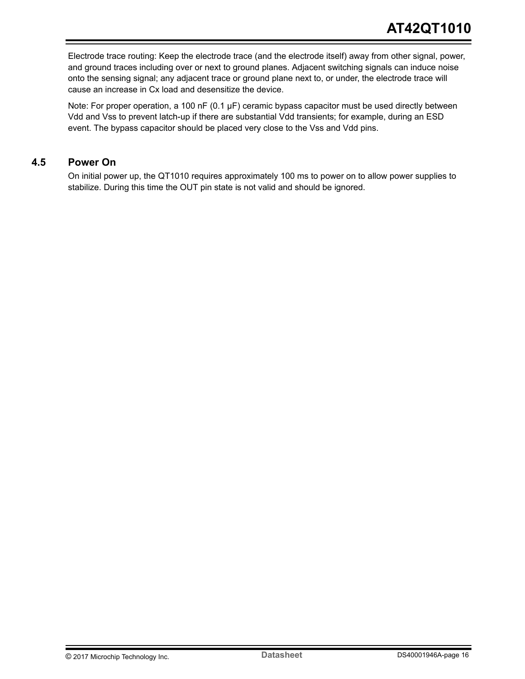<span id="page-15-0"></span>Electrode trace routing: Keep the electrode trace (and the electrode itself) away from other signal, power, and ground traces including over or next to ground planes. Adjacent switching signals can induce noise onto the sensing signal; any adjacent trace or ground plane next to, or under, the electrode trace will cause an increase in Cx load and desensitize the device.

Note: For proper operation, a 100 nF (0.1 μF) ceramic bypass capacitor must be used directly between Vdd and Vss to prevent latch-up if there are substantial Vdd transients; for example, during an ESD event. The bypass capacitor should be placed very close to the Vss and Vdd pins.

### **4.5 Power On**

On initial power up, the QT1010 requires approximately 100 ms to power on to allow power supplies to stabilize. During this time the OUT pin state is not valid and should be ignored.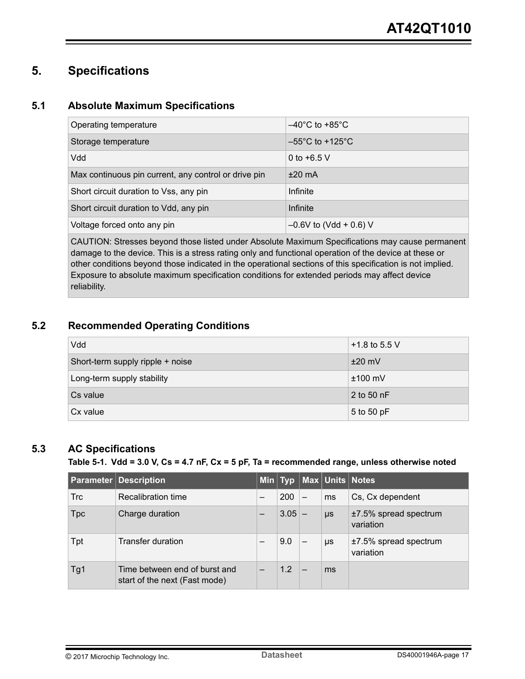## <span id="page-16-0"></span>**5. Specifications**

## **5.1 Absolute Maximum Specifications**

| Operating temperature                                | $-40^{\circ}$ C to +85 $^{\circ}$ C  |
|------------------------------------------------------|--------------------------------------|
| Storage temperature                                  | $-55^{\circ}$ C to +125 $^{\circ}$ C |
| Vdd                                                  | 0 to $+6.5$ V                        |
| Max continuous pin current, any control or drive pin | $±20$ mA                             |
| Short circuit duration to Vss, any pin               | Infinite                             |
| Short circuit duration to Vdd, any pin               | Infinite                             |
| Voltage forced onto any pin                          | $-0.6V$ to (Vdd + 0.6) V             |

CAUTION: Stresses beyond those listed under Absolute Maximum Specifications may cause permanent damage to the device. This is a stress rating only and functional operation of the device at these or other conditions beyond those indicated in the operational sections of this specification is not implied. Exposure to absolute maximum specification conditions for extended periods may affect device reliability.

## **5.2 Recommended Operating Conditions**

| Vdd                              | +1.8 to 5.5 V |
|----------------------------------|---------------|
| Short-term supply ripple + noise | $±20$ mV      |
| Long-term supply stability       | $±100$ mV     |
| Cs value                         | 2 to 50 nF    |
| Cx value                         | 5 to 50 pF    |

## **5.3 AC Specifications**

#### **Table 5-1. Vdd = 3.0 V, Cs = 4.7 nF, Cx = 5 pF, Ta = recommended range, unless otherwise noted**

|            | <b>Parameter Description</b>                                   |          |         | Min Typ Max Units Notes            |
|------------|----------------------------------------------------------------|----------|---------|------------------------------------|
| <b>Trc</b> | Recalibration time                                             | 200      | ms      | Cs, Cx dependent                   |
| <b>Tpc</b> | Charge duration                                                | $3.05 -$ | $\mu s$ | ±7.5% spread spectrum<br>variation |
| Tpt        | <b>Transfer duration</b>                                       | 9.0      | μs      | ±7.5% spread spectrum<br>variation |
| Tg1        | Time between end of burst and<br>start of the next (Fast mode) | 1.2      | ms      |                                    |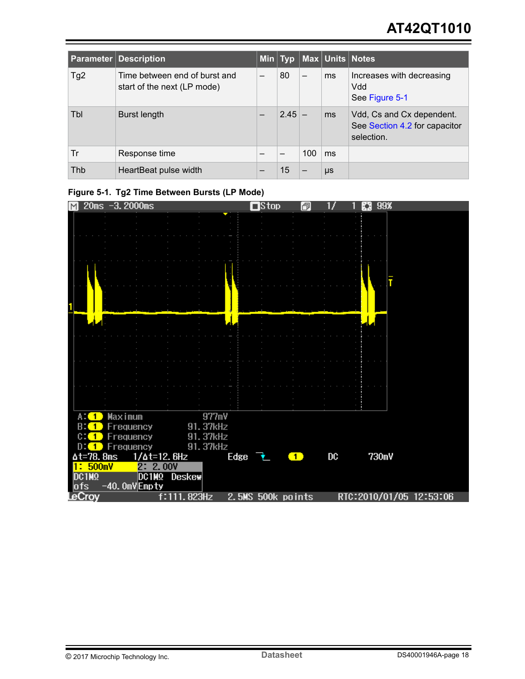# **AT42QT1010**

|                 | <b>Parameter Description</b>                                 |   |          |     |         | Min Typ Max Units Notes                                                  |
|-----------------|--------------------------------------------------------------|---|----------|-----|---------|--------------------------------------------------------------------------|
| Tg <sub>2</sub> | Time between end of burst and<br>start of the next (LP mode) | — | 80       |     | ms      | Increases with decreasing<br>Vdd<br>See Figure 5-1                       |
| Tbl             | Burst length                                                 |   | $2.45 -$ |     | ms      | Vdd, Cs and Cx dependent.<br>See Section 4.2 for capacitor<br>selection. |
| Tr              | Response time                                                |   |          | 100 | ms      |                                                                          |
| Thb             | HeartBeat pulse width                                        |   | 15       |     | $\mu s$ |                                                                          |

## **Figure 5-1. Tg2 Time Between Bursts (LP Mode)**

| M |                               |  |         | $20ms -3.2000ms$                |  |             |                      |      | $\Box$ Stop       |                | 同 |                | N | 99%   |                         |  |
|---|-------------------------------|--|---------|---------------------------------|--|-------------|----------------------|------|-------------------|----------------|---|----------------|---|-------|-------------------------|--|
|   |                               |  |         |                                 |  |             |                      |      |                   |                |   |                |   |       |                         |  |
|   |                               |  |         |                                 |  |             |                      |      |                   |                |   |                |   |       |                         |  |
|   |                               |  |         |                                 |  |             |                      |      |                   |                |   |                |   |       |                         |  |
|   |                               |  |         |                                 |  |             |                      |      |                   |                |   |                |   |       |                         |  |
|   |                               |  |         |                                 |  |             |                      |      |                   |                |   |                |   |       |                         |  |
|   |                               |  |         |                                 |  |             |                      |      |                   |                |   |                |   | T     |                         |  |
|   |                               |  |         |                                 |  |             |                      |      |                   |                |   |                |   |       |                         |  |
|   |                               |  |         |                                 |  |             |                      |      |                   |                |   |                |   |       |                         |  |
|   |                               |  |         |                                 |  |             |                      |      |                   |                |   |                |   |       |                         |  |
|   |                               |  |         |                                 |  |             |                      |      |                   |                |   |                |   |       |                         |  |
|   |                               |  |         |                                 |  |             |                      |      |                   |                |   |                |   |       |                         |  |
|   |                               |  |         |                                 |  |             |                      |      |                   |                |   |                |   |       |                         |  |
|   |                               |  |         |                                 |  |             |                      |      |                   |                |   |                |   |       |                         |  |
|   |                               |  |         |                                 |  |             |                      |      |                   |                |   |                |   |       |                         |  |
|   |                               |  |         |                                 |  |             |                      |      |                   |                |   |                |   |       |                         |  |
|   |                               |  |         |                                 |  |             |                      |      |                   |                |   |                |   |       |                         |  |
|   |                               |  |         |                                 |  |             |                      |      |                   |                |   |                |   |       |                         |  |
|   | $A:$ $\bullet$                |  | Maximum |                                 |  |             | 977mV                |      |                   |                |   |                |   |       |                         |  |
|   | <b>B: 1</b><br>$0:$ $\bullet$ |  |         | Frequency<br>Frequency          |  |             | 91.37kHz<br>91.37kHz |      |                   |                |   |                |   |       |                         |  |
|   | $D: (1)$ Frequency            |  |         |                                 |  |             | 91.37kHz             |      |                   |                |   |                |   |       |                         |  |
|   | $\Delta$ t=78.8ms             |  |         | $1/\Delta$ t=12.6Hz             |  |             |                      | Edge | - ≢ -             | $\blacksquare$ |   | $_{\text{DC}}$ |   | 730mV |                         |  |
|   | 1:500mV                       |  |         | 2: 2.00V                        |  |             |                      |      |                   |                |   |                |   |       |                         |  |
|   | DC1M <sub>2</sub><br>ofs      |  |         | DC1MQ Deskew<br>$-40.0mV$ Empty |  |             |                      |      |                   |                |   |                |   |       |                         |  |
|   | LeCroy                        |  |         |                                 |  | f:111.823Hz |                      |      | 2.5MS 500k points |                |   |                |   |       | RTC:2010/01/05 12:53:06 |  |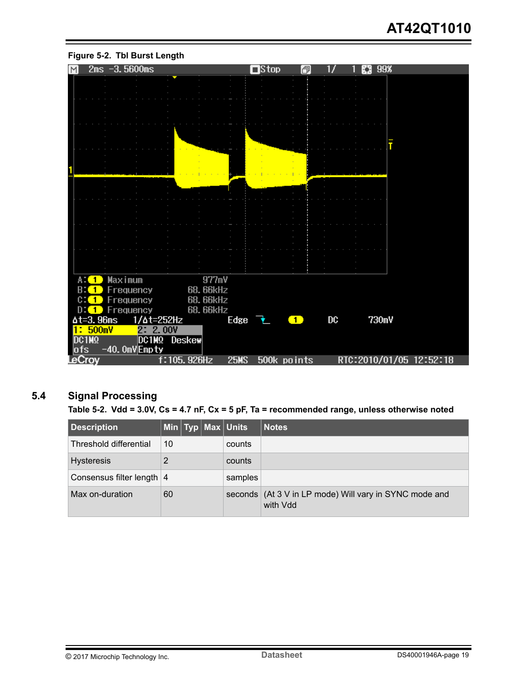

#### <span id="page-18-0"></span>**Figure 5-2. Tbl Burst Length**

## **5.4 Signal Processing**

**Table 5-2. Vdd = 3.0V, Cs = 4.7 nF, Cx = 5 pF, Ta = recommended range, unless otherwise noted**

| <b>Description</b>          |             |  |  | Min   Typ   Max   Units | <b>Notes</b>                                                       |
|-----------------------------|-------------|--|--|-------------------------|--------------------------------------------------------------------|
| Threshold differential      | 10          |  |  | counts                  |                                                                    |
| <b>Hysteresis</b>           | 2<br>counts |  |  |                         |                                                                    |
| Consensus filter length   4 |             |  |  | samples                 |                                                                    |
| Max on-duration             | 60          |  |  |                         | seconds (At 3 V in LP mode) Will vary in SYNC mode and<br>with Vdd |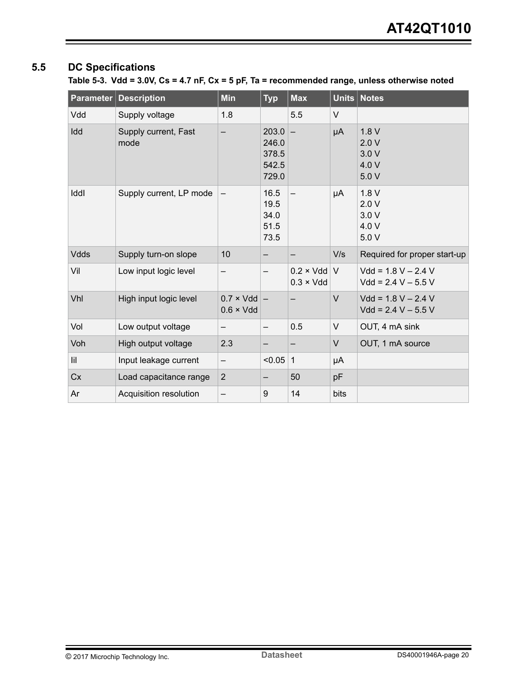## <span id="page-19-0"></span>**5.5 DC Specifications**

**Table 5-3. Vdd = 3.0V, Cs = 4.7 nF, Cx = 5 pF, Ta = recommended range, unless otherwise noted**

| Parameter   | <b>Description</b>           | <b>Min</b>                            | <b>Typ</b>                                | <b>Max</b>                            | Units  | <b>Notes</b>                                   |
|-------------|------------------------------|---------------------------------------|-------------------------------------------|---------------------------------------|--------|------------------------------------------------|
| Vdd         | Supply voltage               | 1.8                                   |                                           | 5.5                                   | V      |                                                |
| Idd         | Supply current, Fast<br>mode | —                                     | 203.0<br>246.0<br>378.5<br>542.5<br>729.0 | $\overline{\phantom{0}}$              | μA     | 1.8V<br>2.0V<br>3.0V<br>4.0 V<br>5.0V          |
| Iddl        | Supply current, LP mode      |                                       | 16.5<br>19.5<br>34.0<br>51.5<br>73.5      | —                                     | μA     | 1.8V<br>2.0V<br>3.0V<br>4.0 V<br>5.0V          |
| <b>Vdds</b> | Supply turn-on slope         | 10                                    | —                                         |                                       | V/s    | Required for proper start-up                   |
| Vil         | Low input logic level        |                                       | —                                         | $0.2 \times Vdd$<br>$0.3 \times V$ dd | V      | $Vdd = 1.8 V - 2.4 V$<br>$Vdd = 2.4 V - 5.5 V$ |
| Vhl         | High input logic level       | $0.7 \times Vdd$<br>$0.6 \times V$ dd | $\overline{\phantom{m}}$                  |                                       | $\vee$ | $Vdd = 1.8 V - 2.4 V$<br>$Vdd = 2.4 V - 5.5 V$ |
| Vol         | Low output voltage           |                                       | —                                         | 0.5                                   | V      | OUT, 4 mA sink                                 |
| Voh         | High output voltage          | 2.3                                   |                                           |                                       | V      | OUT, 1 mA source                               |
| lil         | Input leakage current        | —                                     | < 0.05                                    | $\mathbf{1}$                          | μA     |                                                |
| Cx          | Load capacitance range       | $\overline{2}$                        |                                           | 50                                    | pF     |                                                |
| Ar          | Acquisition resolution       |                                       | 9                                         | 14                                    | bits   |                                                |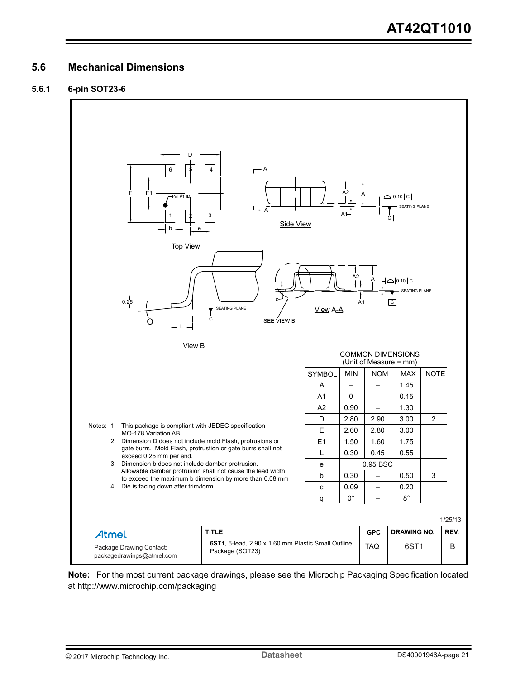### <span id="page-20-0"></span>**5.6 Mechanical Dimensions**

#### **5.6.1 6-pin SOT23-6**



**Note:**  For the most current package drawings, please see the Microchip Packaging Specification located at http://www.microchip.com/packaging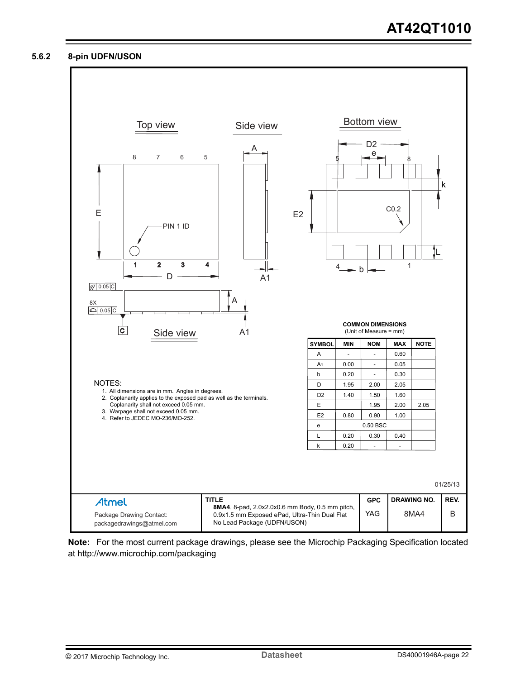#### **5.6.2 8-pin UDFN/USON**



**Note:**  For the most current package drawings, please see the Microchip Packaging Specification located at http://www.microchip.com/packaging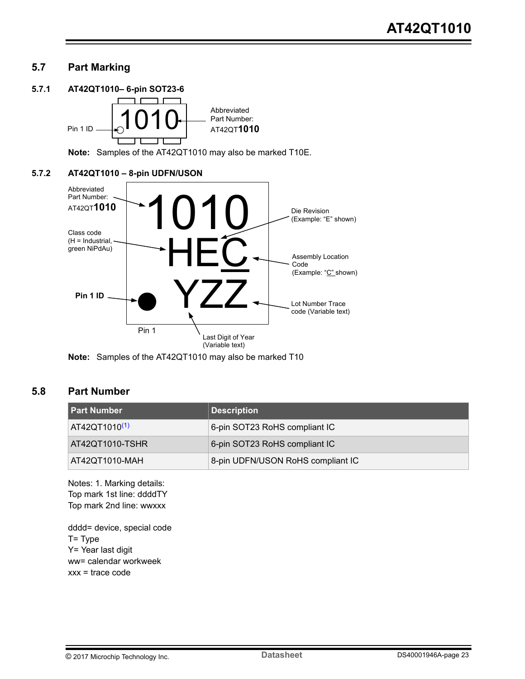## <span id="page-22-0"></span>**5.7 Part Marking**

#### **5.7.1 AT42QT1010– 6-pin SOT23-6**



**Note:**  Samples of the AT42QT1010 may also be marked T10E.

#### **5.7.2 AT42QT1010 – 8-pin UDFN/USON**



**Note:**  Samples of the AT42QT1010 may also be marked T10

### **5.8 Part Number**

| l Part Number             | <b>Description</b>                |
|---------------------------|-----------------------------------|
| AT42QT1010 <sup>(1)</sup> | 6-pin SOT23 RoHS compliant IC     |
| AT42QT1010-TSHR           | 6-pin SOT23 RoHS compliant IC     |
| AT42QT1010-MAH            | 8-pin UDFN/USON RoHS compliant IC |

Notes: 1. Marking details: Top mark 1st line: ddddTY Top mark 2nd line: wwxxx

dddd= device, special code T= Type Y= Year last digit ww= calendar workweek  $xxx = trace code$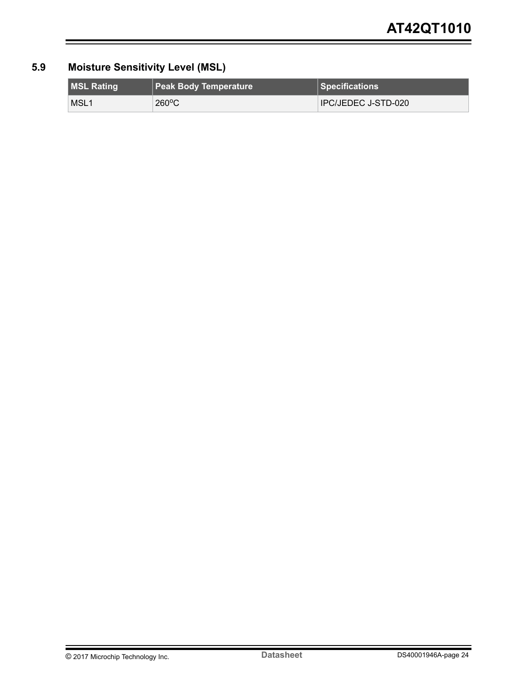## <span id="page-23-0"></span>**5.9 Moisture Sensitivity Level (MSL)**

| <b>MSL Rating</b> | <b>Peak Body Temperature</b> | $\parallel$ Specifications $^{\dagger}$ |
|-------------------|------------------------------|-----------------------------------------|
| MSL <sub>1</sub>  | $260^{\circ}$ C              | IPC/JEDEC J-STD-020                     |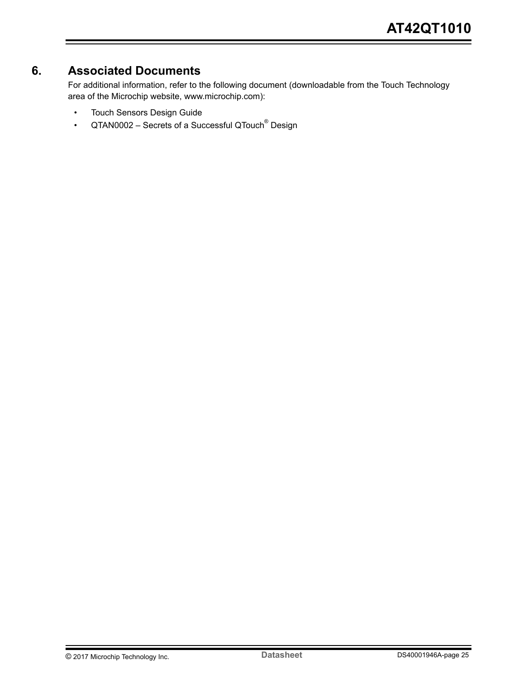## <span id="page-24-0"></span>**6. Associated Documents**

For additional information, refer to the following document (downloadable from the Touch Technology area of the Microchip website, www.microchip.com):

- Touch Sensors Design Guide
- QTAN0002 Secrets of a Successful QTouch<sup>®</sup> Design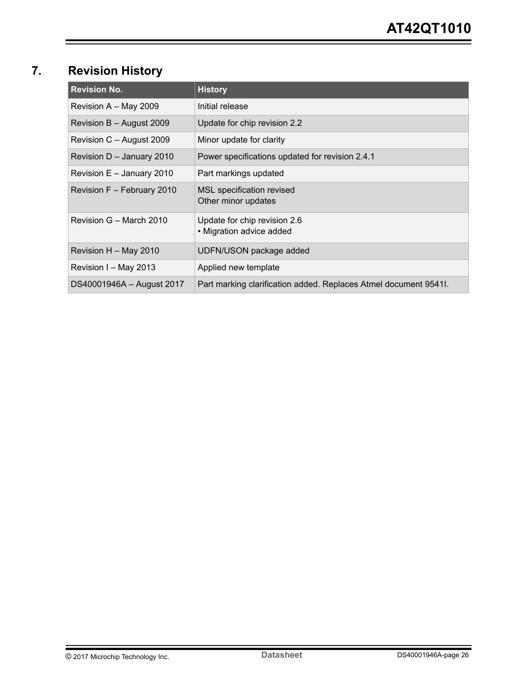# <span id="page-25-0"></span>**7. Revision History**

| <b>Revision No.</b>        | <b>History</b>                                                   |  |  |
|----------------------------|------------------------------------------------------------------|--|--|
| Revision A - May 2009      | Initial release                                                  |  |  |
| Revision B – August 2009   | Update for chip revision 2.2                                     |  |  |
| Revision C - August 2009   | Minor update for clarity                                         |  |  |
| Revision D - January 2010  | Power specifications updated for revision 2.4.1                  |  |  |
| Revision E - January 2010  | Part markings updated                                            |  |  |
| Revision F - February 2010 | MSL specification revised<br>Other minor updates                 |  |  |
| Revision G - March 2010    | Update for chip revision 2.6<br>• Migration advice added         |  |  |
| Revision H - May 2010      | UDFN/USON package added                                          |  |  |
| Revision I - May 2013      | Applied new template                                             |  |  |
| DS40001946A - August 2017  | Part marking clarification added. Replaces Atmel document 95411. |  |  |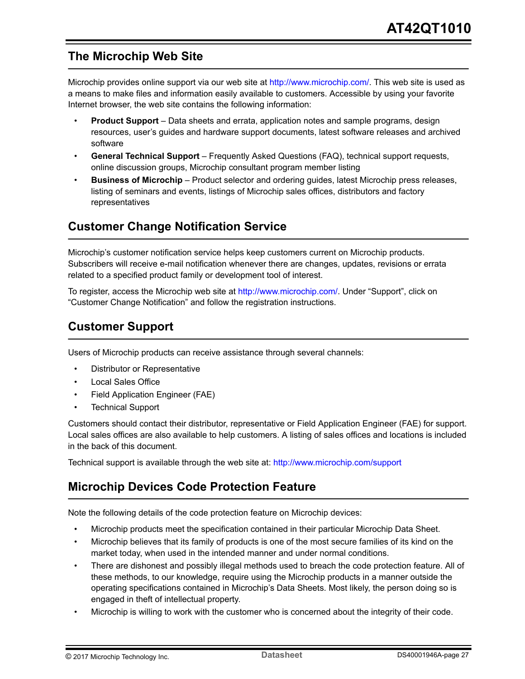## <span id="page-26-0"></span>**The Microchip Web Site**

Microchip provides online support via our web site at [http://www.microchip.com/.](http://www.microchip.com/) This web site is used as a means to make files and information easily available to customers. Accessible by using your favorite Internet browser, the web site contains the following information:

- **Product Support** Data sheets and errata, application notes and sample programs, design resources, user's guides and hardware support documents, latest software releases and archived software
- **General Technical Support** Frequently Asked Questions (FAQ), technical support requests, online discussion groups, Microchip consultant program member listing
- **Business of Microchip** Product selector and ordering guides, latest Microchip press releases, listing of seminars and events, listings of Microchip sales offices, distributors and factory representatives

## **Customer Change Notification Service**

Microchip's customer notification service helps keep customers current on Microchip products. Subscribers will receive e-mail notification whenever there are changes, updates, revisions or errata related to a specified product family or development tool of interest.

To register, access the Microchip web site at [http://www.microchip.com/.](http://www.microchip.com/) Under "Support", click on "Customer Change Notification" and follow the registration instructions.

## **Customer Support**

Users of Microchip products can receive assistance through several channels:

- Distributor or Representative
- Local Sales Office
- Field Application Engineer (FAE)
- Technical Support

Customers should contact their distributor, representative or Field Application Engineer (FAE) for support. Local sales offices are also available to help customers. A listing of sales offices and locations is included in the back of this document.

Technical support is available through the web site at: <http://www.microchip.com/support>

## **Microchip Devices Code Protection Feature**

Note the following details of the code protection feature on Microchip devices:

- Microchip products meet the specification contained in their particular Microchip Data Sheet.
- Microchip believes that its family of products is one of the most secure families of its kind on the market today, when used in the intended manner and under normal conditions.
- There are dishonest and possibly illegal methods used to breach the code protection feature. All of these methods, to our knowledge, require using the Microchip products in a manner outside the operating specifications contained in Microchip's Data Sheets. Most likely, the person doing so is engaged in theft of intellectual property.
- Microchip is willing to work with the customer who is concerned about the integrity of their code.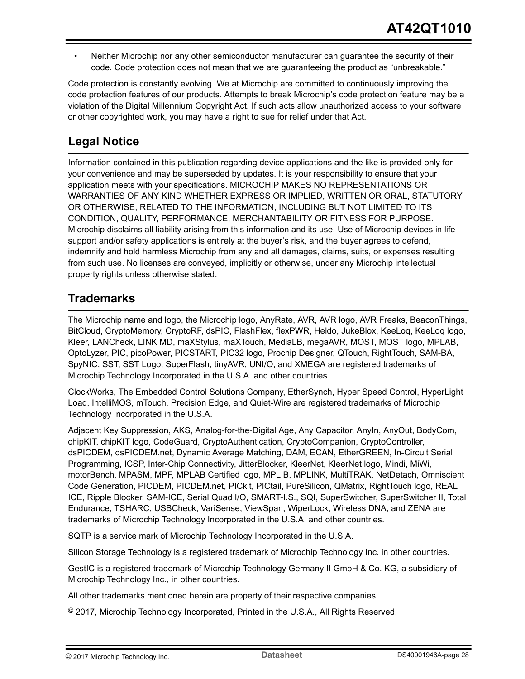<span id="page-27-0"></span>• Neither Microchip nor any other semiconductor manufacturer can guarantee the security of their code. Code protection does not mean that we are guaranteeing the product as "unbreakable."

Code protection is constantly evolving. We at Microchip are committed to continuously improving the code protection features of our products. Attempts to break Microchip's code protection feature may be a violation of the Digital Millennium Copyright Act. If such acts allow unauthorized access to your software or other copyrighted work, you may have a right to sue for relief under that Act.

## **Legal Notice**

Information contained in this publication regarding device applications and the like is provided only for your convenience and may be superseded by updates. It is your responsibility to ensure that your application meets with your specifications. MICROCHIP MAKES NO REPRESENTATIONS OR WARRANTIES OF ANY KIND WHETHER EXPRESS OR IMPLIED, WRITTEN OR ORAL, STATUTORY OR OTHERWISE, RELATED TO THE INFORMATION, INCLUDING BUT NOT LIMITED TO ITS CONDITION, QUALITY, PERFORMANCE, MERCHANTABILITY OR FITNESS FOR PURPOSE. Microchip disclaims all liability arising from this information and its use. Use of Microchip devices in life support and/or safety applications is entirely at the buyer's risk, and the buyer agrees to defend, indemnify and hold harmless Microchip from any and all damages, claims, suits, or expenses resulting from such use. No licenses are conveyed, implicitly or otherwise, under any Microchip intellectual property rights unless otherwise stated.

## **Trademarks**

The Microchip name and logo, the Microchip logo, AnyRate, AVR, AVR logo, AVR Freaks, BeaconThings, BitCloud, CryptoMemory, CryptoRF, dsPIC, FlashFlex, flexPWR, Heldo, JukeBlox, KeeLoq, KeeLoq logo, Kleer, LANCheck, LINK MD, maXStylus, maXTouch, MediaLB, megaAVR, MOST, MOST logo, MPLAB, OptoLyzer, PIC, picoPower, PICSTART, PIC32 logo, Prochip Designer, QTouch, RightTouch, SAM-BA, SpyNIC, SST, SST Logo, SuperFlash, tinyAVR, UNI/O, and XMEGA are registered trademarks of Microchip Technology Incorporated in the U.S.A. and other countries.

ClockWorks, The Embedded Control Solutions Company, EtherSynch, Hyper Speed Control, HyperLight Load, IntelliMOS, mTouch, Precision Edge, and Quiet-Wire are registered trademarks of Microchip Technology Incorporated in the U.S.A.

Adjacent Key Suppression, AKS, Analog-for-the-Digital Age, Any Capacitor, AnyIn, AnyOut, BodyCom, chipKIT, chipKIT logo, CodeGuard, CryptoAuthentication, CryptoCompanion, CryptoController, dsPICDEM, dsPICDEM.net, Dynamic Average Matching, DAM, ECAN, EtherGREEN, In-Circuit Serial Programming, ICSP, Inter-Chip Connectivity, JitterBlocker, KleerNet, KleerNet logo, Mindi, MiWi, motorBench, MPASM, MPF, MPLAB Certified logo, MPLIB, MPLINK, MultiTRAK, NetDetach, Omniscient Code Generation, PICDEM, PICDEM.net, PICkit, PICtail, PureSilicon, QMatrix, RightTouch logo, REAL ICE, Ripple Blocker, SAM-ICE, Serial Quad I/O, SMART-I.S., SQI, SuperSwitcher, SuperSwitcher II, Total Endurance, TSHARC, USBCheck, VariSense, ViewSpan, WiperLock, Wireless DNA, and ZENA are trademarks of Microchip Technology Incorporated in the U.S.A. and other countries.

SQTP is a service mark of Microchip Technology Incorporated in the U.S.A.

Silicon Storage Technology is a registered trademark of Microchip Technology Inc. in other countries.

GestIC is a registered trademark of Microchip Technology Germany II GmbH & Co. KG, a subsidiary of Microchip Technology Inc., in other countries.

All other trademarks mentioned herein are property of their respective companies.

© 2017, Microchip Technology Incorporated, Printed in the U.S.A., All Rights Reserved.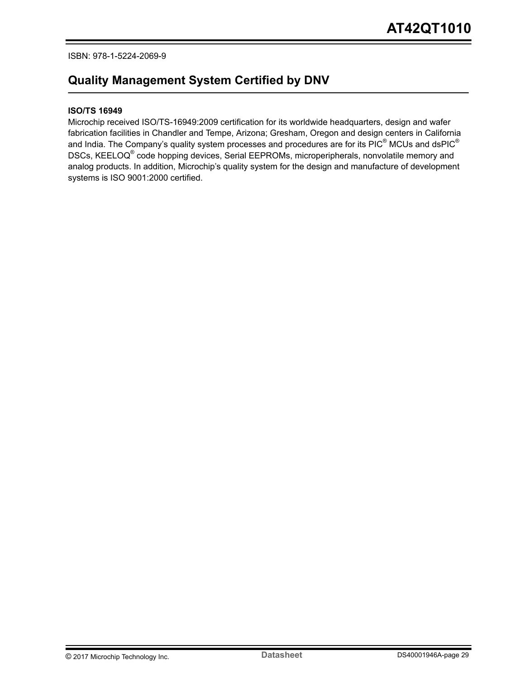#### <span id="page-28-0"></span>ISBN: 978-1-5224-2069-9

## **Quality Management System Certified by DNV**

#### **ISO/TS 16949**

Microchip received ISO/TS-16949:2009 certification for its worldwide headquarters, design and wafer fabrication facilities in Chandler and Tempe, Arizona; Gresham, Oregon and design centers in California and India. The Company's quality system processes and procedures are for its PIC® MCUs and dsPIC® DSCs, KEELOQ<sup>®</sup> code hopping devices, Serial EEPROMs, microperipherals, nonvolatile memory and analog products. In addition, Microchip's quality system for the design and manufacture of development systems is ISO 9001:2000 certified.